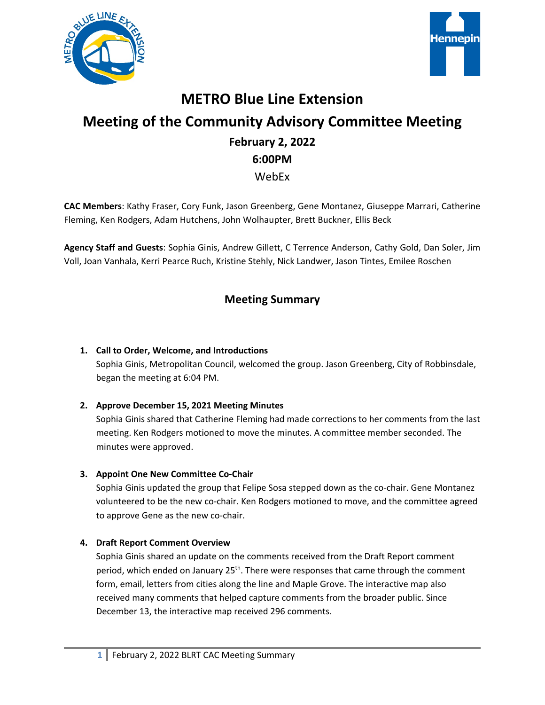



# **METRO Blue Line Extension Meeting of the Community Advisory Committee Meeting February 2, 2022 6:00PM** WebEx

**CAC Members**: Kathy Fraser, Cory Funk, Jason Greenberg, Gene Montanez, Giuseppe Marrari, Catherine Fleming, Ken Rodgers, Adam Hutchens, John Wolhaupter, Brett Buckner, Ellis Beck

**Agency Staff and Guests**: Sophia Ginis, Andrew Gillett, C Terrence Anderson, Cathy Gold, Dan Soler, Jim Voll, Joan Vanhala, Kerri Pearce Ruch, Kristine Stehly, Nick Landwer, Jason Tintes, Emilee Roschen

# **Meeting Summary**

### **1. Call to Order, Welcome, and Introductions**

Sophia Ginis, Metropolitan Council, welcomed the group. Jason Greenberg, City of Robbinsdale, began the meeting at 6:04 PM.

#### **2. Approve December 15, 2021 Meeting Minutes**

Sophia Ginis shared that Catherine Fleming had made corrections to her comments from the last meeting. Ken Rodgers motioned to move the minutes. A committee member seconded. The minutes were approved.

#### **3. Appoint One New Committee Co-Chair**

Sophia Ginis updated the group that Felipe Sosa stepped down as the co-chair. Gene Montanez volunteered to be the new co-chair. Ken Rodgers motioned to move, and the committee agreed to approve Gene as the new co-chair.

#### **4. Draft Report Comment Overview**

Sophia Ginis shared an update on the comments received from the Draft Report comment period, which ended on January  $25<sup>th</sup>$ . There were responses that came through the comment form, email, letters from cities along the line and Maple Grove. The interactive map also received many comments that helped capture comments from the broader public. Since December 13, the interactive map received 296 comments.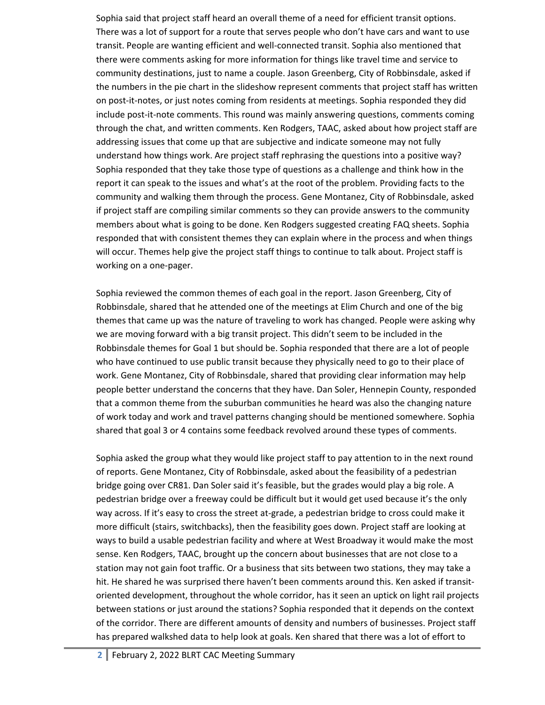Sophia said that project staff heard an overall theme of a need for efficient transit options. There was a lot of support for a route that serves people who don't have cars and want to use transit. People are wanting efficient and well-connected transit. Sophia also mentioned that there were comments asking for more information for things like travel time and service to community destinations, just to name a couple. Jason Greenberg, City of Robbinsdale, asked if the numbers in the pie chart in the slideshow represent comments that project staff has written on post-it-notes, or just notes coming from residents at meetings. Sophia responded they did include post-it-note comments. This round was mainly answering questions, comments coming through the chat, and written comments. Ken Rodgers, TAAC, asked about how project staff are addressing issues that come up that are subjective and indicate someone may not fully understand how things work. Are project staff rephrasing the questions into a positive way? Sophia responded that they take those type of questions as a challenge and think how in the report it can speak to the issues and what's at the root of the problem. Providing facts to the community and walking them through the process. Gene Montanez, City of Robbinsdale, asked if project staff are compiling similar comments so they can provide answers to the community members about what is going to be done. Ken Rodgers suggested creating FAQ sheets. Sophia responded that with consistent themes they can explain where in the process and when things will occur. Themes help give the project staff things to continue to talk about. Project staff is working on a one-pager.

Sophia reviewed the common themes of each goal in the report. Jason Greenberg, City of Robbinsdale, shared that he attended one of the meetings at Elim Church and one of the big themes that came up was the nature of traveling to work has changed. People were asking why we are moving forward with a big transit project. This didn't seem to be included in the Robbinsdale themes for Goal 1 but should be. Sophia responded that there are a lot of people who have continued to use public transit because they physically need to go to their place of work. Gene Montanez, City of Robbinsdale, shared that providing clear information may help people better understand the concerns that they have. Dan Soler, Hennepin County, responded that a common theme from the suburban communities he heard was also the changing nature of work today and work and travel patterns changing should be mentioned somewhere. Sophia shared that goal 3 or 4 contains some feedback revolved around these types of comments.

Sophia asked the group what they would like project staff to pay attention to in the next round of reports. Gene Montanez, City of Robbinsdale, asked about the feasibility of a pedestrian bridge going over CR81. Dan Soler said it's feasible, but the grades would play a big role. A pedestrian bridge over a freeway could be difficult but it would get used because it's the only way across. If it's easy to cross the street at-grade, a pedestrian bridge to cross could make it more difficult (stairs, switchbacks), then the feasibility goes down. Project staff are looking at ways to build a usable pedestrian facility and where at West Broadway it would make the most sense. Ken Rodgers, TAAC, brought up the concern about businesses that are not close to a station may not gain foot traffic. Or a business that sits between two stations, they may take a hit. He shared he was surprised there haven't been comments around this. Ken asked if transitoriented development, throughout the whole corridor, has it seen an uptick on light rail projects between stations or just around the stations? Sophia responded that it depends on the context of the corridor. There are different amounts of density and numbers of businesses. Project staff has prepared walkshed data to help look at goals. Ken shared that there was a lot of effort to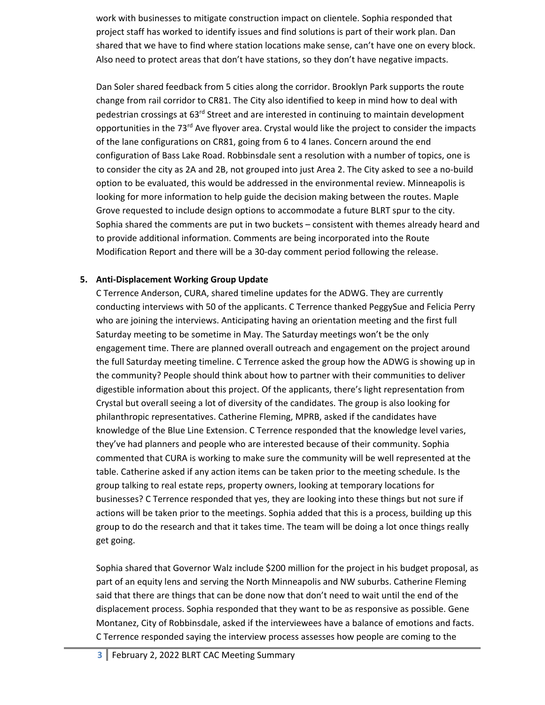work with businesses to mitigate construction impact on clientele. Sophia responded that project staff has worked to identify issues and find solutions is part of their work plan. Dan shared that we have to find where station locations make sense, can't have one on every block. Also need to protect areas that don't have stations, so they don't have negative impacts.

Dan Soler shared feedback from 5 cities along the corridor. Brooklyn Park supports the route change from rail corridor to CR81. The City also identified to keep in mind how to deal with pedestrian crossings at 63<sup>rd</sup> Street and are interested in continuing to maintain development opportunities in the 73<sup>rd</sup> Ave flyover area. Crystal would like the project to consider the impacts of the lane configurations on CR81, going from 6 to 4 lanes. Concern around the end configuration of Bass Lake Road. Robbinsdale sent a resolution with a number of topics, one is to consider the city as 2A and 2B, not grouped into just Area 2. The City asked to see a no-build option to be evaluated, this would be addressed in the environmental review. Minneapolis is looking for more information to help guide the decision making between the routes. Maple Grove requested to include design options to accommodate a future BLRT spur to the city. Sophia shared the comments are put in two buckets – consistent with themes already heard and to provide additional information. Comments are being incorporated into the Route Modification Report and there will be a 30-day comment period following the release.

#### **5. Anti-Displacement Working Group Update**

C Terrence Anderson, CURA, shared timeline updates for the ADWG. They are currently conducting interviews with 50 of the applicants. C Terrence thanked PeggySue and Felicia Perry who are joining the interviews. Anticipating having an orientation meeting and the first full Saturday meeting to be sometime in May. The Saturday meetings won't be the only engagement time. There are planned overall outreach and engagement on the project around the full Saturday meeting timeline. C Terrence asked the group how the ADWG is showing up in the community? People should think about how to partner with their communities to deliver digestible information about this project. Of the applicants, there's light representation from Crystal but overall seeing a lot of diversity of the candidates. The group is also looking for philanthropic representatives. Catherine Fleming, MPRB, asked if the candidates have knowledge of the Blue Line Extension. C Terrence responded that the knowledge level varies, they've had planners and people who are interested because of their community. Sophia commented that CURA is working to make sure the community will be well represented at the table. Catherine asked if any action items can be taken prior to the meeting schedule. Is the group talking to real estate reps, property owners, looking at temporary locations for businesses? C Terrence responded that yes, they are looking into these things but not sure if actions will be taken prior to the meetings. Sophia added that this is a process, building up this group to do the research and that it takes time. The team will be doing a lot once things really get going.

Sophia shared that Governor Walz include \$200 million for the project in his budget proposal, as part of an equity lens and serving the North Minneapolis and NW suburbs. Catherine Fleming said that there are things that can be done now that don't need to wait until the end of the displacement process. Sophia responded that they want to be as responsive as possible. Gene Montanez, City of Robbinsdale, asked if the interviewees have a balance of emotions and facts. C Terrence responded saying the interview process assesses how people are coming to the